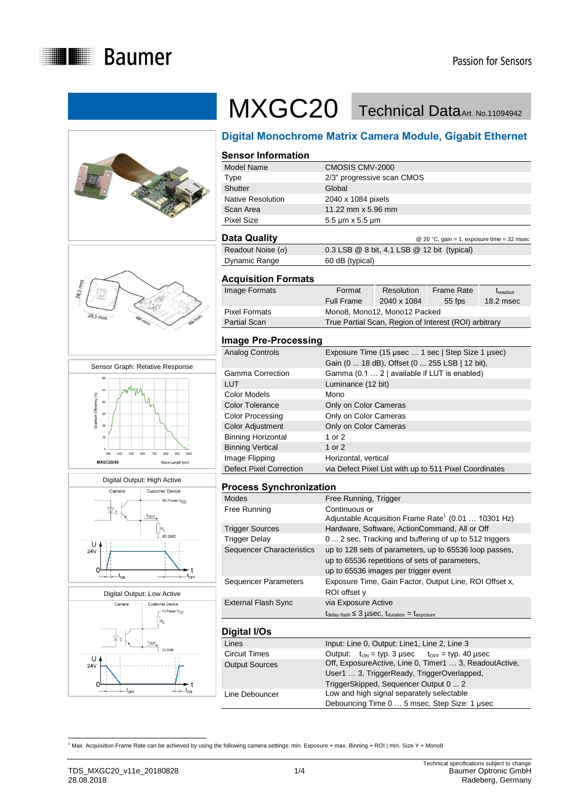











# MXGC20 Technical DataArt. No.11094942

# **Digital Monochrome Matrix Camera Module, Gigabit Ethernet**

#### **Sensor Information** Model Name CMOSIS CMV-2000 Type 2/3" progressive scan CMOS Shutter Global Native Resolution 2040 x 1084 pixels Scan Area 11.22 mm x 5.96 mm Pixel Size 5.5 μm x 5.5 μm

**Data Quality** 20 °C, gain = 1, exposure time = 32 msec Readout Noise  $(0)$  0.3 LSB @ 8 bit, 4.1 LSB @ 12 bit (typical) Dynamic Range 60 dB (typical)

#### **Acquisition Formats**

| Image Formats | Format            | Resolution                                            | <b>Frame Rate</b> | <b><i>Treadout</i></b> |
|---------------|-------------------|-------------------------------------------------------|-------------------|------------------------|
|               | <b>Full Frame</b> | 2040 x 1084                                           | $55$ fps          | 18.2 msec              |
| Pixel Formats |                   | Mono8, Mono12, Mono12 Packed                          |                   |                        |
| Partial Scan  |                   | True Partial Scan, Region of Interest (ROI) arbitrary |                   |                        |
|               |                   |                                                       |                   |                        |

### **Image Pre-Processing**

| Analog Controls                | Exposure Time (15 µsec  1 sec   Step Size 1 µsec)<br>Gain (0  18 dB), Offset (0  255 LSB   12 bit), |
|--------------------------------|-----------------------------------------------------------------------------------------------------|
| <b>Gamma Correction</b>        | Gamma (0.1  2   available if LUT is enabled)                                                        |
| <b>LUT</b>                     | Luminance (12 bit)                                                                                  |
| <b>Color Models</b>            | Mono                                                                                                |
| <b>Color Tolerance</b>         | Only on Color Cameras                                                                               |
| <b>Color Processing</b>        | Only on Color Cameras                                                                               |
| <b>Color Adjustment</b>        | Only on Color Cameras                                                                               |
| <b>Binning Horizontal</b>      | 1 or 2                                                                                              |
| <b>Binning Vertical</b>        | 1 or $2$                                                                                            |
| Image Flipping                 | Horizontal, vertical                                                                                |
| <b>Defect Pixel Correction</b> | via Defect Pixel List with up to 511 Pixel Coordinates                                              |

#### **Process Synchronization**

| <b>Modes</b>                | Free Running, Trigger                                                             |  |  |  |
|-----------------------------|-----------------------------------------------------------------------------------|--|--|--|
| Free Running                | Continuous or                                                                     |  |  |  |
|                             | Adjustable Acquisition Frame Rate <sup>1</sup> (0.01  10301 Hz)                   |  |  |  |
| <b>Trigger Sources</b>      | Hardware, Software, ActionCommand, All or Off                                     |  |  |  |
| <b>Trigger Delay</b>        | 0  2 sec, Tracking and buffering of up to 512 triggers                            |  |  |  |
| Sequencer Characteristics   | up to 128 sets of parameters, up to 65536 loop passes,                            |  |  |  |
|                             | up to 65536 repetitions of sets of parameters,                                    |  |  |  |
|                             | up to 65536 images per trigger event                                              |  |  |  |
| <b>Sequencer Parameters</b> | Exposure Time, Gain Factor, Output Line, ROI Offset x,                            |  |  |  |
|                             | ROI offset y                                                                      |  |  |  |
| <b>External Flash Sync</b>  | via Exposure Active                                                               |  |  |  |
|                             | $t_{\text{delay flash}} \leq 3$ µSeC, $t_{\text{duration}} = t_{\text{exposure}}$ |  |  |  |
|                             |                                                                                   |  |  |  |
| Digital I/Os                |                                                                                   |  |  |  |
| Lines                       | Input: Line 0, Output: Line1, Line 2, Line 3                                      |  |  |  |
| <b>Circuit Times</b>        | Output: $t_{ON} = typ. 3 \,\mu sec$ $t_{OFF} = typ. 40 \,\mu sec$                 |  |  |  |
| <b>Output Sources</b>       | Off, ExposureActive, Line 0, Timer1  3, ReadoutActive,                            |  |  |  |
|                             | User1  3, TriggerReady, TriggerOverlapped,                                        |  |  |  |
|                             | TriggerSkipped, Sequencer Output 0  2                                             |  |  |  |
| Line Debouncer              | Low and high signal separately selectable                                         |  |  |  |
|                             | Debouncing Time 0  5 msec, Step Size: 1 µsec                                      |  |  |  |

<sup>&</sup>lt;sup>1</sup><br><sup>1</sup> Max. Acquisition Frame Rate can be achieved by using the following camera settings: min. Exposure + max. Binning + ROI | min. Size Y + Mono8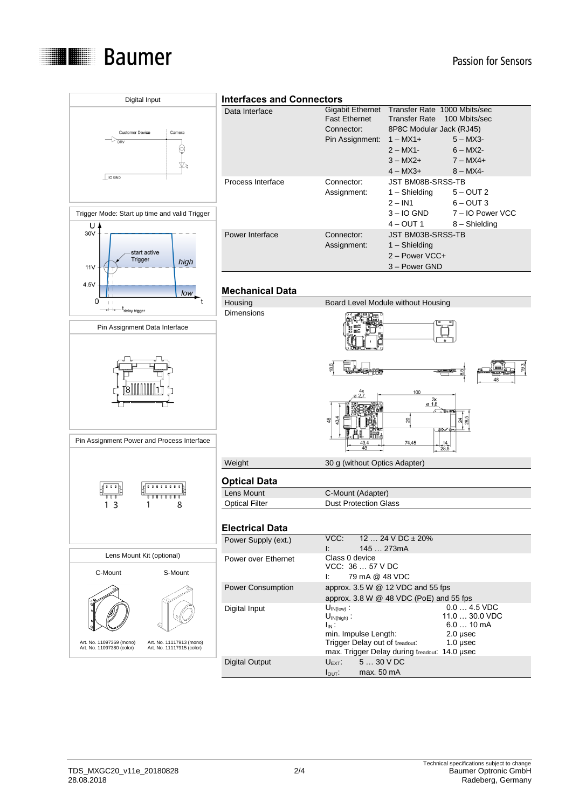

## Passion for Sensors

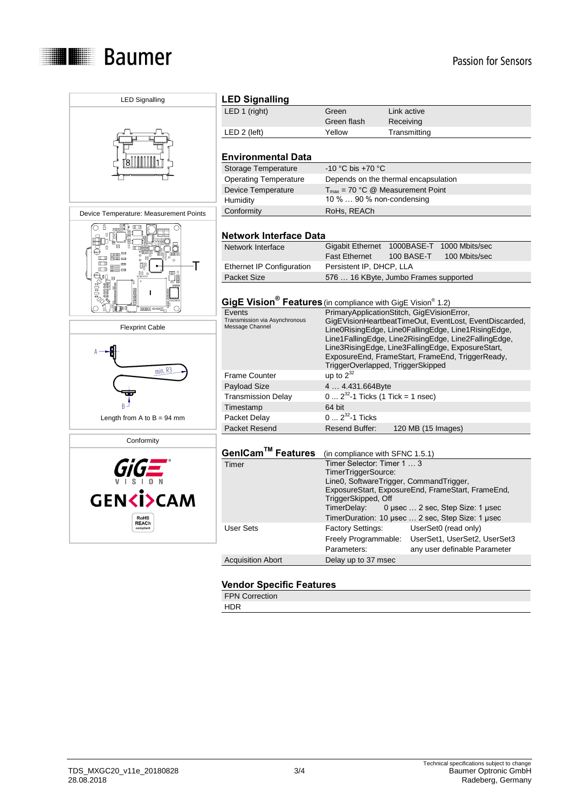

| <b>LED Signalling</b>                                                                | <b>LED Signalling</b>                                                                                                                                             |                                                                                                                                                                                                                                                                                        |                                                                                                                                                                                                    |  |
|--------------------------------------------------------------------------------------|-------------------------------------------------------------------------------------------------------------------------------------------------------------------|----------------------------------------------------------------------------------------------------------------------------------------------------------------------------------------------------------------------------------------------------------------------------------------|----------------------------------------------------------------------------------------------------------------------------------------------------------------------------------------------------|--|
|                                                                                      | LED 1 (right)                                                                                                                                                     | Green                                                                                                                                                                                                                                                                                  | Link active                                                                                                                                                                                        |  |
|                                                                                      |                                                                                                                                                                   | Green flash                                                                                                                                                                                                                                                                            | Receiving                                                                                                                                                                                          |  |
|                                                                                      | $LED 2$ (left)                                                                                                                                                    | Yellow                                                                                                                                                                                                                                                                                 | Transmitting                                                                                                                                                                                       |  |
|                                                                                      |                                                                                                                                                                   |                                                                                                                                                                                                                                                                                        |                                                                                                                                                                                                    |  |
|                                                                                      | <b>Environmental Data</b>                                                                                                                                         |                                                                                                                                                                                                                                                                                        |                                                                                                                                                                                                    |  |
|                                                                                      | <b>Storage Temperature</b>                                                                                                                                        | -10 °C bis +70 °C                                                                                                                                                                                                                                                                      |                                                                                                                                                                                                    |  |
|                                                                                      | <b>Operating Temperature</b>                                                                                                                                      |                                                                                                                                                                                                                                                                                        | Depends on the thermal encapsulation                                                                                                                                                               |  |
|                                                                                      | Device Temperature                                                                                                                                                | $T_{max}$ = 70 °C @ Measurement Point                                                                                                                                                                                                                                                  |                                                                                                                                                                                                    |  |
|                                                                                      | Humidity                                                                                                                                                          | 10 %  90 % non-condensing                                                                                                                                                                                                                                                              |                                                                                                                                                                                                    |  |
| Device Temperature: Measurement Points                                               | Conformity                                                                                                                                                        | RoHs, REACh                                                                                                                                                                                                                                                                            |                                                                                                                                                                                                    |  |
| ŏ<br>$\Rightarrow$                                                                   | <b>Network Interface Data</b>                                                                                                                                     |                                                                                                                                                                                                                                                                                        |                                                                                                                                                                                                    |  |
| 000000                                                                               | Network Interface                                                                                                                                                 | <b>Gigabit Ethernet</b>                                                                                                                                                                                                                                                                | 1000BASE-T 1000 Mbits/sec                                                                                                                                                                          |  |
| ■ ■<br>$\blacksquare$<br>$\circ$<br>$\Box$                                           |                                                                                                                                                                   | <b>Fast Ethernet</b>                                                                                                                                                                                                                                                                   | 100 BASE-T<br>100 Mbits/sec                                                                                                                                                                        |  |
| $\Box$ $\equiv$<br>00<br>um o<br>$\mathbb{Q}$ u $\_$ =                               | Ethernet IP Configuration                                                                                                                                         | Persistent IP, DHCP, LLA                                                                                                                                                                                                                                                               |                                                                                                                                                                                                    |  |
|                                                                                      | <b>Packet Size</b>                                                                                                                                                |                                                                                                                                                                                                                                                                                        | 576  16 KByte, Jumbo Frames supported                                                                                                                                                              |  |
| <b><i>Political</i></b><br><b>HELE</b><br>$\frac{1}{\sqrt{2}}$<br>∩<br>$00000 = -00$ | GigE Vision <sup>®</sup> Features (in compliance with GigE Vision <sup>®</sup> 1.2)<br>PrimaryApplicationStitch, GigEVisionError,<br>Events                       |                                                                                                                                                                                                                                                                                        |                                                                                                                                                                                                    |  |
| <b>Flexprint Cable</b>                                                               | Transmission via Asynchronous<br>GigEVisionHeartbeatTimeOut, EventLost, EventDiscarded,<br>Message Channel<br>Line0RisingEdge, Line0FallingEdge, Line1RisingEdge, |                                                                                                                                                                                                                                                                                        |                                                                                                                                                                                                    |  |
| $min$ <sub>R3</sub>                                                                  |                                                                                                                                                                   |                                                                                                                                                                                                                                                                                        | Line1FallingEdge, Line2RisingEdge, Line2FallingEdge,<br>Line3RisingEdge, Line3FallingEdge, ExposureStart,<br>ExposureEnd, FrameStart, FrameEnd, TriggerReady,<br>TriggerOverlapped, TriggerSkipped |  |
|                                                                                      | <b>Frame Counter</b>                                                                                                                                              | up to $2^{32}$                                                                                                                                                                                                                                                                         |                                                                                                                                                                                                    |  |
|                                                                                      | <b>Payload Size</b>                                                                                                                                               | 4  4.431.664Byte                                                                                                                                                                                                                                                                       |                                                                                                                                                                                                    |  |
|                                                                                      | <b>Transmission Delay</b>                                                                                                                                         | $0 2^{32}$ -1 Ticks (1 Tick = 1 nsec)                                                                                                                                                                                                                                                  |                                                                                                                                                                                                    |  |
|                                                                                      | Timestamp                                                                                                                                                         | 64 bit                                                                                                                                                                                                                                                                                 |                                                                                                                                                                                                    |  |
| Length from A to $B = 94$ mm                                                         | Packet Delay                                                                                                                                                      | $0 2^{32}$ -1 Ticks                                                                                                                                                                                                                                                                    |                                                                                                                                                                                                    |  |
|                                                                                      | <b>Packet Resend</b>                                                                                                                                              | <b>Resend Buffer:</b>                                                                                                                                                                                                                                                                  | 120 MB (15 Images)                                                                                                                                                                                 |  |
| Conformity                                                                           |                                                                                                                                                                   |                                                                                                                                                                                                                                                                                        |                                                                                                                                                                                                    |  |
|                                                                                      | GenICam™ Features                                                                                                                                                 | (in compliance with SFNC 1.5.1)                                                                                                                                                                                                                                                        |                                                                                                                                                                                                    |  |
| <b>GENKİ&gt;CAM</b><br><b>RoHS</b><br><b>REACh</b>                                   | Timer                                                                                                                                                             | Timer Selector: Timer 1  3<br>TimerTriggerSource:<br>Line0, SoftwareTrigger, CommandTrigger,<br>ExposureStart, ExposureEnd, FrameStart, FrameEnd,<br>TriggerSkipped, Off<br>TimerDelay:<br>0 µsec $\dots$ 2 sec, Step Size: 1 µsec<br>TimerDuration: 10 µsec  2 sec, Step Size: 1 µsec |                                                                                                                                                                                                    |  |
| compliant                                                                            | <b>User Sets</b>                                                                                                                                                  | <b>Factory Settings:</b><br>Freely Programmable:<br>Parameters:                                                                                                                                                                                                                        | UserSet0 (read only)<br>UserSet1, UserSet2, UserSet3<br>any user definable Parameter                                                                                                               |  |

# **Vendor Specific Features**

Acquisition Abort Delay up to 37 msec

FPN Correction

HDR